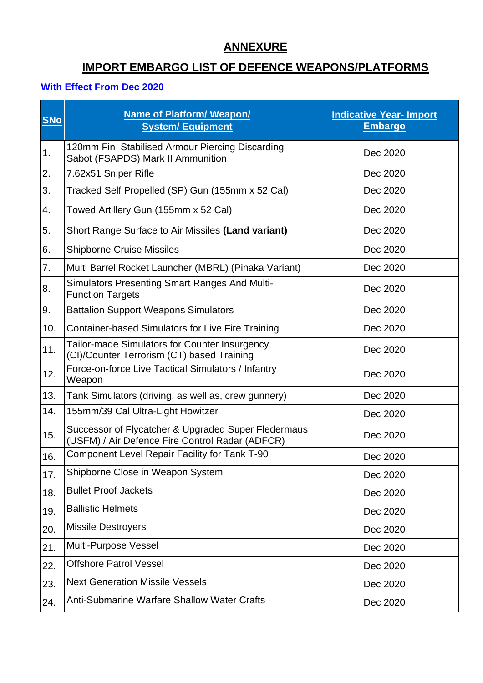### **ANNEXURE**

# **IMPORT EMBARGO LIST OF DEFENCE WEAPONS/PLATFORMS**

#### **With Effect From Dec 2020**

| <b>SNo</b> | Name of Platform/ Weapon/<br><b>System/ Equipment</b>                                                  | <b>Indicative Year- Import</b><br><b>Embargo</b> |
|------------|--------------------------------------------------------------------------------------------------------|--------------------------------------------------|
| 1.         | 120mm Fin Stabilised Armour Piercing Discarding<br>Sabot (FSAPDS) Mark II Ammunition                   | Dec 2020                                         |
| 2.         | 7.62x51 Sniper Rifle                                                                                   | Dec 2020                                         |
| 3.         | Tracked Self Propelled (SP) Gun (155mm x 52 Cal)                                                       | Dec 2020                                         |
| 4.         | Towed Artillery Gun (155mm x 52 Cal)                                                                   | Dec 2020                                         |
| 5.         | Short Range Surface to Air Missiles (Land variant)                                                     | Dec 2020                                         |
| 6.         | <b>Shipborne Cruise Missiles</b>                                                                       | Dec 2020                                         |
| 7.         | Multi Barrel Rocket Launcher (MBRL) (Pinaka Variant)                                                   | Dec 2020                                         |
| 8.         | <b>Simulators Presenting Smart Ranges And Multi-</b><br><b>Function Targets</b>                        | Dec 2020                                         |
| 9.         | <b>Battalion Support Weapons Simulators</b>                                                            | Dec 2020                                         |
| 10.        | <b>Container-based Simulators for Live Fire Training</b>                                               | Dec 2020                                         |
| 11.        | Tailor-made Simulators for Counter Insurgency<br>(CI)/Counter Terrorism (CT) based Training            | Dec 2020                                         |
| 12.        | Force-on-force Live Tactical Simulators / Infantry<br>Weapon                                           | Dec 2020                                         |
| 13.        | Tank Simulators (driving, as well as, crew gunnery)                                                    | Dec 2020                                         |
| 14.        | 155mm/39 Cal Ultra-Light Howitzer                                                                      | Dec 2020                                         |
| 15.        | Successor of Flycatcher & Upgraded Super Fledermaus<br>(USFM) / Air Defence Fire Control Radar (ADFCR) | Dec 2020                                         |
| 16.        | <b>Component Level Repair Facility for Tank T-90</b>                                                   | Dec 2020                                         |
| 17.        | Shipborne Close in Weapon System                                                                       | Dec 2020                                         |
| 18.        | <b>Bullet Proof Jackets</b>                                                                            | Dec 2020                                         |
| 19.        | <b>Ballistic Helmets</b>                                                                               | Dec 2020                                         |
| 20.        | <b>Missile Destroyers</b>                                                                              | Dec 2020                                         |
| 21.        | Multi-Purpose Vessel                                                                                   | Dec 2020                                         |
| 22.        | <b>Offshore Patrol Vessel</b>                                                                          | Dec 2020                                         |
| 23.        | <b>Next Generation Missile Vessels</b>                                                                 | Dec 2020                                         |
| 24.        | <b>Anti-Submarine Warfare Shallow Water Crafts</b>                                                     | Dec 2020                                         |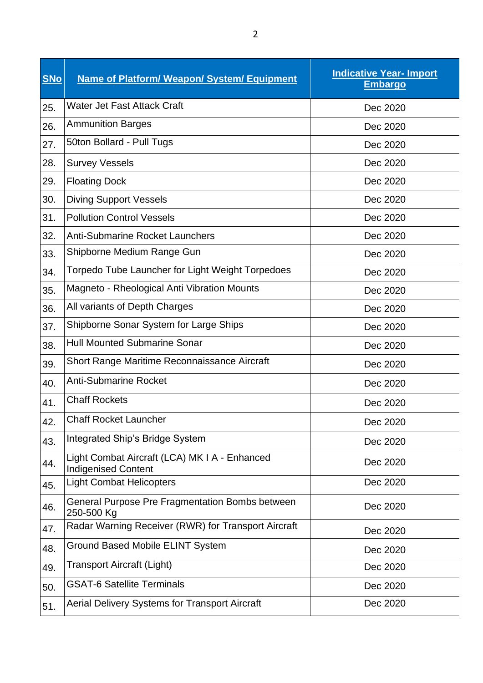| <b>SNo</b> | <b>Name of Platform/ Weapon/ System/ Equipment</b>                          | <b>Indicative Year- Import</b><br><b>Embargo</b> |
|------------|-----------------------------------------------------------------------------|--------------------------------------------------|
| 25.        | Water Jet Fast Attack Craft                                                 | Dec 2020                                         |
| 26.        | <b>Ammunition Barges</b>                                                    | Dec 2020                                         |
| 27.        | 50ton Bollard - Pull Tugs                                                   | Dec 2020                                         |
| 28.        | <b>Survey Vessels</b>                                                       | Dec 2020                                         |
| 29.        | <b>Floating Dock</b>                                                        | Dec 2020                                         |
| 30.        | <b>Diving Support Vessels</b>                                               | Dec 2020                                         |
| 31.        | <b>Pollution Control Vessels</b>                                            | Dec 2020                                         |
| 32.        | <b>Anti-Submarine Rocket Launchers</b>                                      | Dec 2020                                         |
| 33.        | Shipborne Medium Range Gun                                                  | Dec 2020                                         |
| 34.        | Torpedo Tube Launcher for Light Weight Torpedoes                            | Dec 2020                                         |
| 35.        | Magneto - Rheological Anti Vibration Mounts                                 | Dec 2020                                         |
| 36.        | All variants of Depth Charges                                               | Dec 2020                                         |
| 37.        | Shipborne Sonar System for Large Ships                                      | Dec 2020                                         |
| 38.        | <b>Hull Mounted Submarine Sonar</b>                                         | Dec 2020                                         |
| 39.        | Short Range Maritime Reconnaissance Aircraft                                | Dec 2020                                         |
| 40.        | <b>Anti-Submarine Rocket</b>                                                | Dec 2020                                         |
| 41.        | <b>Chaff Rockets</b>                                                        | Dec 2020                                         |
| 42.        | <b>Chaff Rocket Launcher</b>                                                | Dec 2020                                         |
| 43.        | Integrated Ship's Bridge System                                             | Dec 2020                                         |
| 44.        | Light Combat Aircraft (LCA) MK I A - Enhanced<br><b>Indigenised Content</b> | Dec 2020                                         |
| 45.        | <b>Light Combat Helicopters</b>                                             | Dec 2020                                         |
| 46.        | General Purpose Pre Fragmentation Bombs between<br>250-500 Kg               | Dec 2020                                         |
| 47.        | Radar Warning Receiver (RWR) for Transport Aircraft                         | Dec 2020                                         |
| 48.        | <b>Ground Based Mobile ELINT System</b>                                     | Dec 2020                                         |
| 49.        | <b>Transport Aircraft (Light)</b>                                           | Dec 2020                                         |
| 50.        | <b>GSAT-6 Satellite Terminals</b>                                           | Dec 2020                                         |
| 51.        | Aerial Delivery Systems for Transport Aircraft                              | Dec 2020                                         |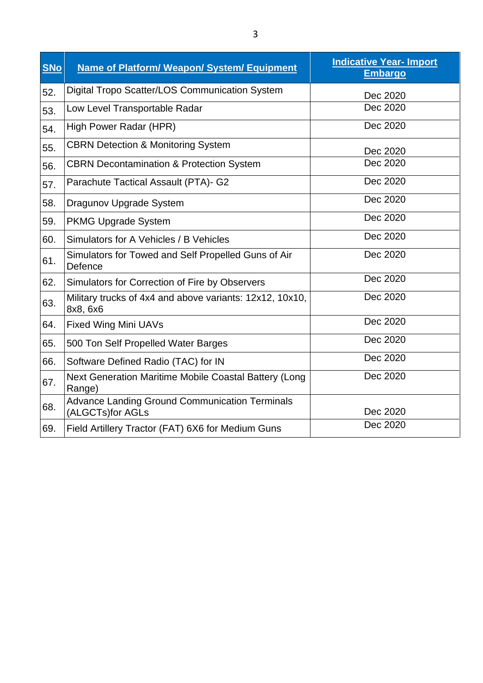| <b>SNo</b> | <b>Name of Platform/ Weapon/ System/ Equipment</b>                        | <b>Indicative Year- Import</b><br><b>Embargo</b> |
|------------|---------------------------------------------------------------------------|--------------------------------------------------|
| 52.        | Digital Tropo Scatter/LOS Communication System                            | Dec 2020                                         |
| 53.        | Low Level Transportable Radar                                             | Dec 2020                                         |
| 54.        | High Power Radar (HPR)                                                    | Dec 2020                                         |
| 55.        | <b>CBRN Detection &amp; Monitoring System</b>                             | Dec 2020                                         |
| 56.        | <b>CBRN Decontamination &amp; Protection System</b>                       | Dec 2020                                         |
| 57.        | Parachute Tactical Assault (PTA)- G2                                      | Dec 2020                                         |
| 58.        | Dragunov Upgrade System                                                   | Dec 2020                                         |
| 59.        | <b>PKMG Upgrade System</b>                                                | Dec 2020                                         |
| 60.        | Simulators for A Vehicles / B Vehicles                                    | Dec 2020                                         |
| 61.        | Simulators for Towed and Self Propelled Guns of Air<br>Defence            | Dec 2020                                         |
| 62.        | Simulators for Correction of Fire by Observers                            | Dec 2020                                         |
| 63.        | Military trucks of 4x4 and above variants: 12x12, 10x10,<br>8x8, 6x6      | Dec 2020                                         |
| 64.        | <b>Fixed Wing Mini UAVs</b>                                               | Dec 2020                                         |
| 65.        | 500 Ton Self Propelled Water Barges                                       | Dec 2020                                         |
| 66.        | Software Defined Radio (TAC) for IN                                       | Dec 2020                                         |
| 67.        | Next Generation Maritime Mobile Coastal Battery (Long<br>Range)           | Dec 2020                                         |
| 68.        | <b>Advance Landing Ground Communication Terminals</b><br>(ALGCTs)for AGLs | Dec 2020                                         |
| 69.        | Field Artillery Tractor (FAT) 6X6 for Medium Guns                         | Dec 2020                                         |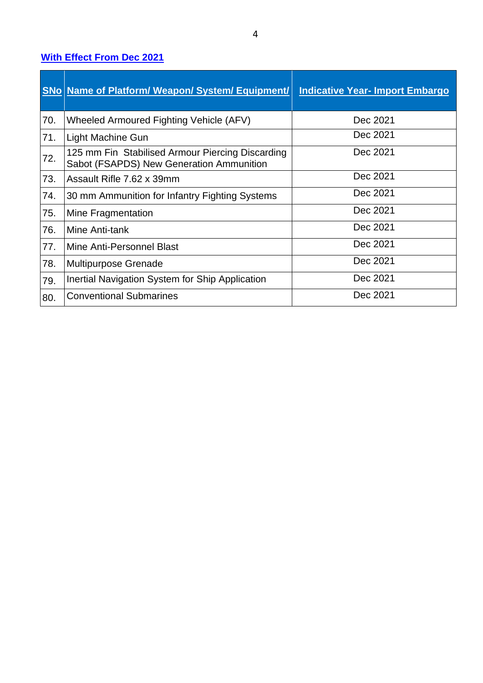### **With Effect From Dec 2021**

|     | <b>SNo Name of Platform/ Weapon/ System/ Equipment/</b>                                      | <b>Indicative Year- Import Embargo</b> |
|-----|----------------------------------------------------------------------------------------------|----------------------------------------|
| 70. | Wheeled Armoured Fighting Vehicle (AFV)                                                      | Dec 2021                               |
| 71. | Light Machine Gun                                                                            | Dec 2021                               |
| 72. | 125 mm Fin Stabilised Armour Piercing Discarding<br>Sabot (FSAPDS) New Generation Ammunition | Dec 2021                               |
| 73. | Assault Rifle 7.62 x 39mm                                                                    | Dec 2021                               |
| 74. | 30 mm Ammunition for Infantry Fighting Systems                                               | Dec 2021                               |
| 75. | Mine Fragmentation                                                                           | Dec 2021                               |
| 76. | Mine Anti-tank                                                                               | Dec 2021                               |
| 77. | Mine Anti-Personnel Blast                                                                    | Dec 2021                               |
| 78. | <b>Multipurpose Grenade</b>                                                                  | Dec 2021                               |
| 79. | Inertial Navigation System for Ship Application                                              | Dec 2021                               |
| 80. | <b>Conventional Submarines</b>                                                               | Dec 2021                               |